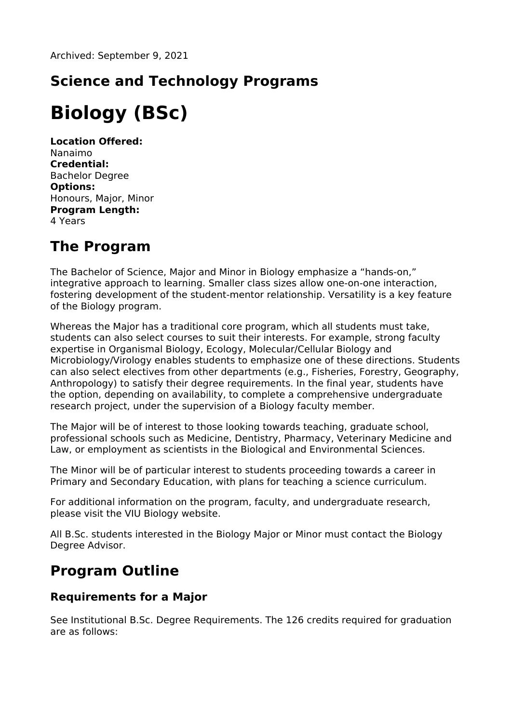## **Science and Technology Programs**

# **Biology (BSc)**

**Location Offered:** Nanaimo **Credential:** Bachelor Degree **Options:** Honours, Major, Minor **Program Length:** 4 Years

### **The Program**

The Bachelor of Science, Major and Minor in Biology emphasize a "hands-on," integrative approach to learning. Smaller class sizes allow one-on-one interaction, fostering development of the student-mentor relationship. Versatility is a key feature of the Biology program.

Whereas the Major has a traditional core program, which all students must take, students can also select courses to suit their interests. For example, strong faculty expertise in Organismal Biology, Ecology, Molecular/Cellular Biology and Microbiology/Virology enables students to emphasize one of these directions. Students can also select electives from other departments (e.g., Fisheries, Forestry, Geography, Anthropology) to satisfy their degree requirements. In the final year, students have the option, depending on availability, to complete a comprehensive undergraduate research project, under the supervision of a Biology faculty member.

The Major will be of interest to those looking towards teaching, graduate school, professional schools such as Medicine, Dentistry, Pharmacy, Veterinary Medicine and Law, or employment as scientists in the Biological and Environmental Sciences.

The Minor will be of particular interest to students proceeding towards a career in Primary and Secondary Education, with plans for teaching a science curriculum.

For additional information on the program, faculty, and undergraduate research, please visit the VIU Biology website.

All B.Sc. students interested in the Biology Major or Minor must contact the Biology Degree Advisor.

### **Program Outline**

#### **Requirements for a Major**

See Institutional B.Sc. Degree Requirements. The 126 credits required for graduation are as follows: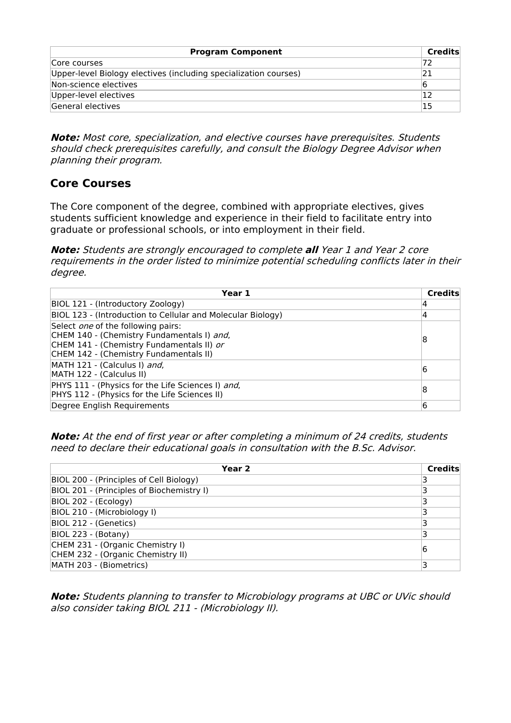| <b>Program Component</b>                                         | Credits |
|------------------------------------------------------------------|---------|
| Core courses                                                     | 72      |
| Upper-level Biology electives (including specialization courses) |         |
| Non-science electives                                            |         |
| Upper-level electives                                            |         |
| General electives                                                | '15     |

**Note:** Most core, specialization, and elective courses have prerequisites. Students should check prerequisites carefully, and consult the Biology Degree Advisor when planning their program.

#### **Core Courses**

The Core component of the degree, combined with appropriate electives, gives students sufficient knowledge and experience in their field to facilitate entry into graduate or professional schools, or into employment in their field.

**Note:** Students are strongly encouraged to complete **all** Year 1 and Year 2 core requirements in the order listed to minimize potential scheduling conflicts later in their degree.

| Year 1                                                                                                                                                                         | <b>Credits</b> |
|--------------------------------------------------------------------------------------------------------------------------------------------------------------------------------|----------------|
| BIOL 121 - (Introductory Zoology)                                                                                                                                              |                |
| BIOL 123 - (Introduction to Cellular and Molecular Biology)                                                                                                                    | 4              |
| Select <i>one</i> of the following pairs:<br>CHEM 140 - (Chemistry Fundamentals I) and,<br>CHEM 141 - (Chemistry Fundamentals II) or<br>CHEM 142 - (Chemistry Fundamentals II) | 18             |
| MATH 121 - (Calculus I) and,<br>MATH 122 - (Calculus II)                                                                                                                       | 16             |
| PHYS 111 - (Physics for the Life Sciences I) and,<br>PHYS 112 - (Physics for the Life Sciences II)                                                                             | 18             |
| Degree English Requirements                                                                                                                                                    | 6              |

**Note:** At the end of first year or after completing <sup>a</sup> minimum of 24 credits, students need to declare their educational goals in consultation with the B.Sc. Advisor.

| Year 2                                    | Credits |
|-------------------------------------------|---------|
| BIOL 200 - (Principles of Cell Biology)   |         |
| BIOL 201 - (Principles of Biochemistry I) |         |
| BIOL 202 - (Ecology)                      |         |
| BIOL 210 - (Microbiology I)               |         |
| BIOL 212 - (Genetics)                     |         |
| BIOL 223 - (Botany)                       |         |
| CHEM 231 - (Organic Chemistry I)          | 16      |
| CHEM 232 - (Organic Chemistry II)         |         |
| MATH 203 - (Biometrics)                   |         |

**Note:** Students planning to transfer to Microbiology programs at UBC or UVic should also consider taking BIOL 211 - (Microbiology II).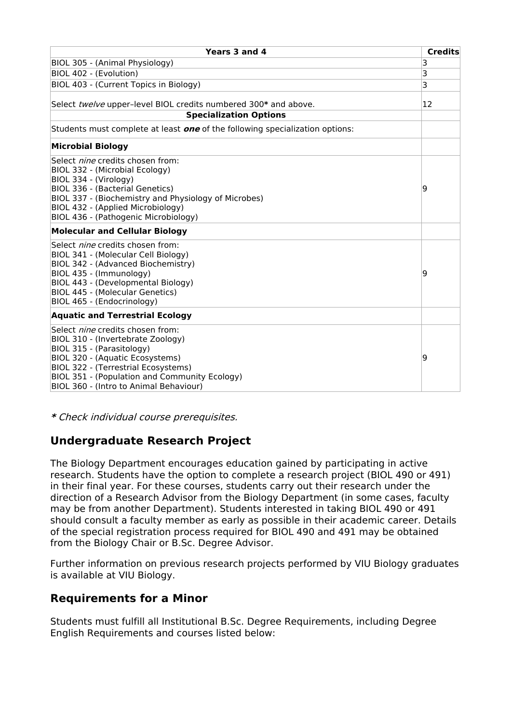| Years 3 and 4                                                                                                                                                                                                                                                                     | <b>Credits</b> |
|-----------------------------------------------------------------------------------------------------------------------------------------------------------------------------------------------------------------------------------------------------------------------------------|----------------|
| BIOL 305 - (Animal Physiology)                                                                                                                                                                                                                                                    | 3              |
| BIOL 402 - (Evolution)                                                                                                                                                                                                                                                            | 3              |
| BIOL 403 - (Current Topics in Biology)                                                                                                                                                                                                                                            | 3              |
| Select twelve upper-level BIOL credits numbered 300* and above.<br><b>Specialization Options</b>                                                                                                                                                                                  | 12             |
| Students must complete at least <b>one</b> of the following specialization options:                                                                                                                                                                                               |                |
| <b>Microbial Biology</b>                                                                                                                                                                                                                                                          |                |
| Select <i>nine</i> credits chosen from:<br>BIOL 332 - (Microbial Ecology)<br>BIOL 334 - (Virology)<br><b>BIOL 336 - (Bacterial Genetics)</b><br>BIOL 337 - (Biochemistry and Physiology of Microbes)<br>BIOL 432 - (Applied Microbiology)<br>BIOL 436 - (Pathogenic Microbiology) | 19             |
| <b>Molecular and Cellular Biology</b>                                                                                                                                                                                                                                             |                |
| Select <i>nine</i> credits chosen from:<br>BIOL 341 - (Molecular Cell Biology)<br>BIOL 342 - (Advanced Biochemistry)<br>BIOL 435 - (Immunology)<br>BIOL 443 - (Developmental Biology)<br><b>BIOL 445 - (Molecular Genetics)</b><br>BIOL 465 - (Endocrinology)                     | 9              |
| <b>Aquatic and Terrestrial Ecology</b>                                                                                                                                                                                                                                            |                |
| Select <i>nine</i> credits chosen from:<br>BIOL 310 - (Invertebrate Zoology)<br>BIOL 315 - (Parasitology)<br>BIOL 320 - (Aquatic Ecosystems)<br>BIOL 322 - (Terrestrial Ecosystems)<br>BIOL 351 - (Population and Community Ecology)<br>BIOL 360 - (Intro to Animal Behaviour)    | 9              |

**\*** Check individual course prerequisites.

#### **Undergraduate Research Project**

The Biology Department encourages education gained by participating in active research. Students have the option to complete a research project (BIOL 490 or 491) in their final year. For these courses, students carry out their research under the direction of a Research Advisor from the Biology Department (in some cases, faculty may be from another Department). Students interested in taking BIOL 490 or 491 should consult a faculty member as early as possible in their academic career. Details of the special registration process required for BIOL 490 and 491 may be obtained from the Biology Chair or B.Sc. Degree Advisor.

Further information on previous research projects performed by VIU Biology graduates is available at VIU Biology.

#### **Requirements for a Minor**

Students must fulfill all Institutional B.Sc. Degree Requirements, including Degree English Requirements and courses listed below: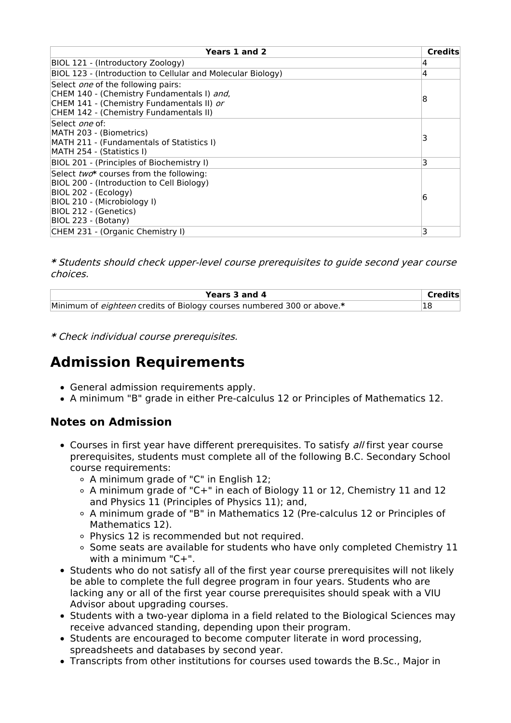| Years 1 and 2                                                                                                                                                                               | <b>Credits</b> |
|---------------------------------------------------------------------------------------------------------------------------------------------------------------------------------------------|----------------|
| BIOL 121 - (Introductory Zoology)                                                                                                                                                           | 4              |
| BIOL 123 - (Introduction to Cellular and Molecular Biology)                                                                                                                                 | 4              |
| Select <i>one</i> of the following pairs:<br>CHEM 140 - (Chemistry Fundamentals I) and,<br>CHEM 141 - (Chemistry Fundamentals II) or<br>CHEM 142 - (Chemistry Fundamentals II)              | 8              |
| Select <i>one</i> of:<br> MATH 203 - (Biometrics)<br>MATH 211 - (Fundamentals of Statistics I)<br>MATH 254 - (Statistics I)                                                                 | 3              |
| BIOL 201 - (Principles of Biochemistry I)                                                                                                                                                   | 3              |
| Select two* courses from the following:<br>BIOL 200 - (Introduction to Cell Biology)<br>BIOL 202 - (Ecology)<br>BIOL 210 - (Microbiology I)<br>BIOL 212 - (Genetics)<br>BIOL 223 - (Botany) | 6              |
| CHEM 231 - (Organic Chemistry I)                                                                                                                                                            | 3              |

**\*** Students should check upper-level course prerequisites to guide second year course choices.

| Years 3 and 4                                                          | Credits |
|------------------------------------------------------------------------|---------|
| Minimum of eighteen credits of Biology courses numbered 300 or above.* |         |

**\*** Check individual course prerequisites.

### **Admission Requirements**

- General admission requirements apply.
- A minimum "B" grade in either Pre-calculus 12 or Principles of Mathematics 12.

#### **Notes on Admission**

- Courses in first year have different prerequisites. To satisfy all first year course prerequisites, students must complete all of the following B.C. Secondary School course requirements:
	- A minimum grade of "C" in English 12;
	- $\circ$  A minimum grade of "C+" in each of Biology 11 or 12, Chemistry 11 and 12 and Physics 11 (Principles of Physics 11); and,
	- A minimum grade of "B" in Mathematics 12 (Pre-calculus 12 or Principles of Mathematics 12).
	- Physics 12 is recommended but not required.
	- Some seats are available for students who have only completed Chemistry 11 with a minimum "C+".
- Students who do not satisfy all of the first year course prerequisites will not likely be able to complete the full degree program in four years. Students who are lacking any or all of the first year course prerequisites should speak with a VIU Advisor about upgrading courses.
- Students with a two-year diploma in a field related to the Biological Sciences may receive advanced standing, depending upon their program.
- Students are encouraged to become computer literate in word processing, spreadsheets and databases by second year.
- Transcripts from other institutions for courses used towards the B.Sc., Major in